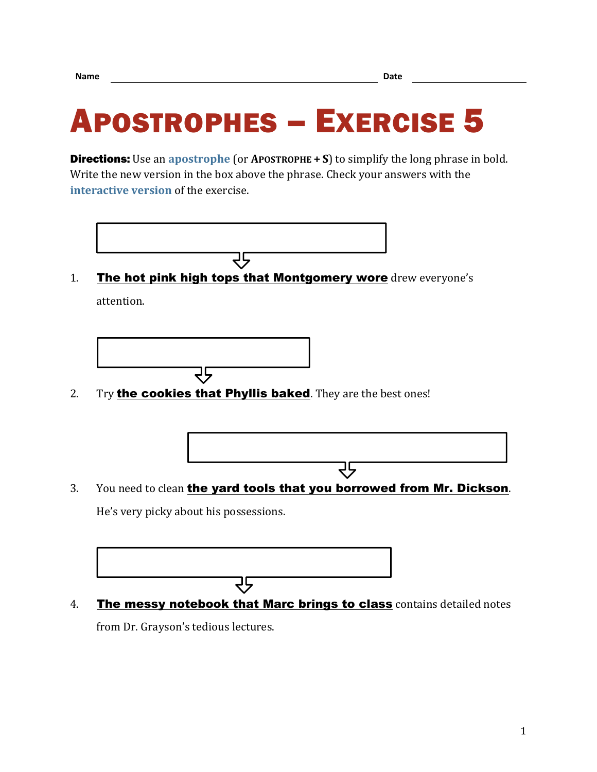## APOSTROPHES – EXERCISE 5

**Directions:** Use an **[apostrophe](https://chompchomp.com/terms/apostrophe.htm)** (or **APOSTROPHE**  $+ S$ ) to simplify the long phrase in bold. Write the new version in the box above the phrase. Check your answers with the **[interactive version](https://chompchomp.com/hotpotatoes/apostrophes05.htm)** of the exercise.



1. The hot pink high tops that Montgomery wore drew everyone's attention.



2. Try **the cookies that Phyllis baked**. They are the best ones!



3. You need to clean the yard tools that you borrowed from Mr. Dickson. He's very picky about his possessions.



4. The messy notebook that Marc brings to class contains detailed notes

from Dr. Grayson's tedious lectures.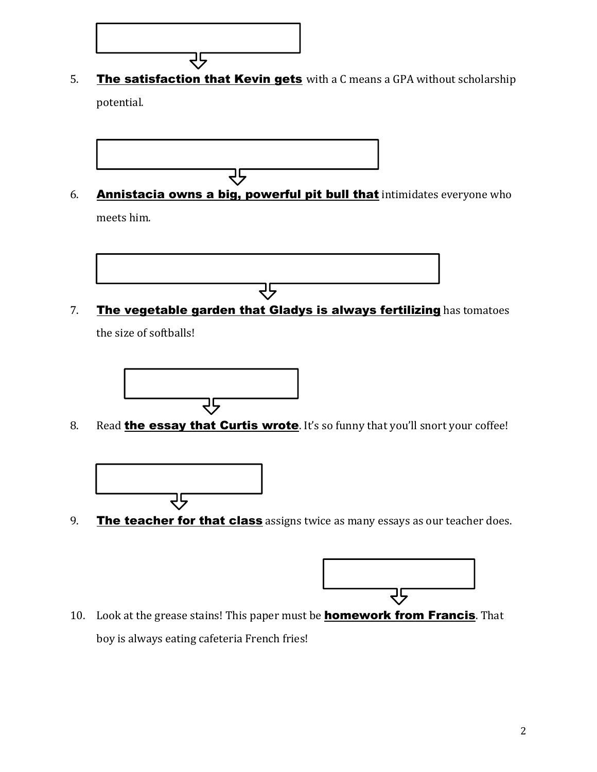5. The satisfaction that Kevin gets with a C means a GPA without scholarship potential.



マラ

6. Annistacia owns a big, powerful pit bull that intimidates everyone who meets him.



7. The vegetable garden that Gladys is always fertilizing has tomatoes

the size of softballs!



8. Read **the essay that Curtis wrote**. It's so funny that you'll snort your coffee!



9. The teacher for that class assigns twice as many essays as our teacher does.



10. Look at the grease stains! This paper must be **homework from Francis**. That boy is always eating cafeteria French fries!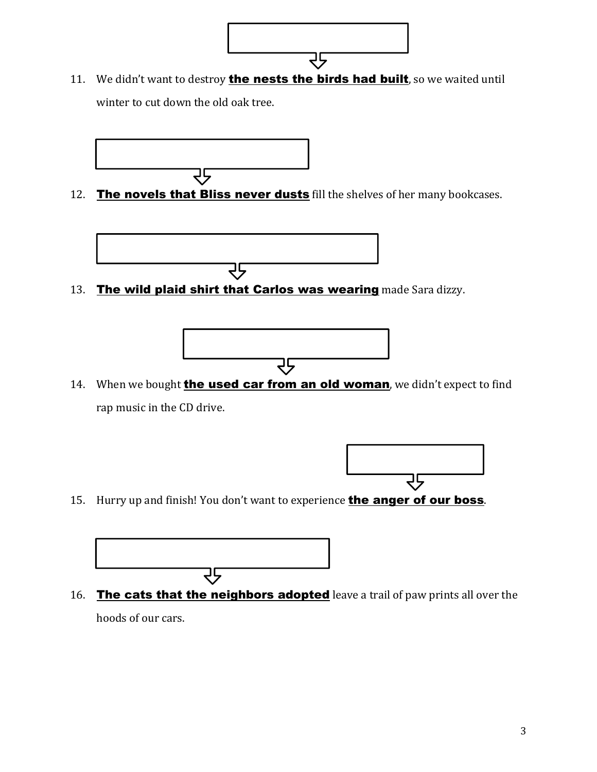11. We didn't want to destroy **the nests the birds had built**, so we waited until winter to cut down the old oak tree.

マラ



12. The novels that Bliss never dusts fill the shelves of her many bookcases.



13. The wild plaid shirt that Carlos was wearing made Sara dizzy.



14. When we bought **the used car from an old woman**, we didn't expect to find rap music in the CD drive.



15. Hurry up and finish! You don't want to experience **the anger of our boss**.



16. The cats that the neighbors adopted leave a trail of paw prints all over the hoods of our cars.